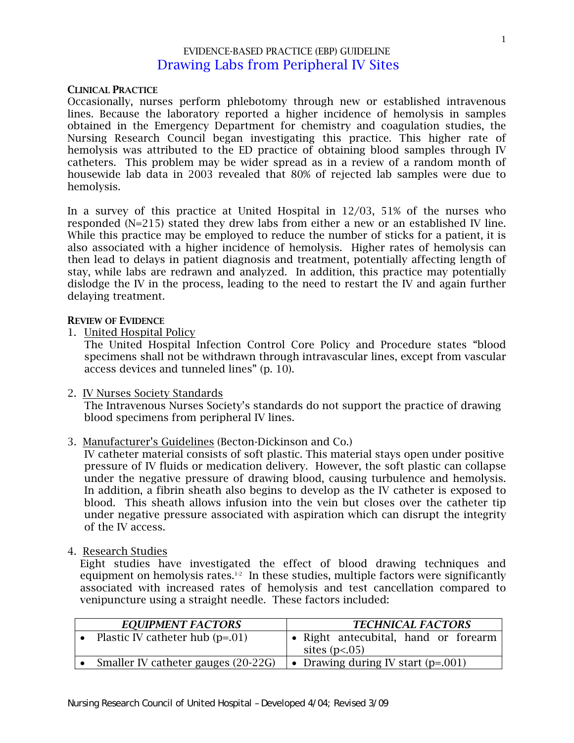## EVIDENCE-BASED PRACTICE (EBP) GUIDELINE Drawing Labs from Peripheral IV Sites

### CLINICAL PRACTICE

Occasionally, nurses perform phlebotomy through new or established intravenous lines. Because the laboratory reported a higher incidence of hemolysis in samples obtained in the Emergency Department for chemistry and coagulation studies, the Nursing Research Council began investigating this practice. This higher rate of hemolysis was attributed to the ED practice of obtaining blood samples through IV catheters. This problem may be wider spread as in a review of a random month of housewide lab data in 2003 revealed that 80% of rejected lab samples were due to hemolysis.

In a survey of this practice at United Hospital in 12/03, 51% of the nurses who responded (N=215) stated they drew labs from either a new or an established IV line. While this practice may be employed to reduce the number of sticks for a patient, it is also associated with a higher incidence of hemolysis. Higher rates of hemolysis can then lead to delays in patient diagnosis and treatment, potentially affecting length of stay, while labs are redrawn and analyzed. In addition, this practice may potentially dislodge the IV in the process, leading to the need to restart the IV and again further delaying treatment.

#### REVIEW OF EVIDENCE

1. United Hospital Policy

The United Hospital Infection Control Core Policy and Procedure states "blood specimens shall not be withdrawn through intravascular lines, except from vascular access devices and tunneled lines" (p. 10).

2. IV Nurses Society Standards

 The Intravenous Nurses Society's standards do not support the practice of drawing blood specimens from peripheral IV lines.

3. Manufacturer's Guidelines (Becton-Dickinson and Co.)

 IV catheter material consists of soft plastic. This material stays open under positive pressure of IV fluids or medication delivery. However, the soft plastic can collapse under the negative pressure of drawing blood, causing turbulence and hemolysis. In addition, a fibrin sheath also begins to develop as the IV catheter is exposed to blood. This sheath allows infusion into the vein but closes over the catheter tip under negative pressure associated with aspiration which can disrupt the integrity of the IV access.

4. Research Studies

Eight studies have investigated the effect of blood drawing techniques and equipment on hemolysis rates. $1-2$  In these studies, multiple factors were significantly associated with increased rates of hemolysis and test cancellation compared to venipuncture using a straight needle. These factors included:

| <b>EQUIPMENT FACTORS</b>            | <b>TECHNICAL FACTORS</b> |                                      |
|-------------------------------------|--------------------------|--------------------------------------|
| Plastic IV catheter hub $(p=.01)$   |                          | · Right antecubital, hand or forearm |
|                                     |                          | sites $(p<.05)$                      |
| Smaller IV catheter gauges (20-22G) |                          | • Drawing during IV start $(p=.001)$ |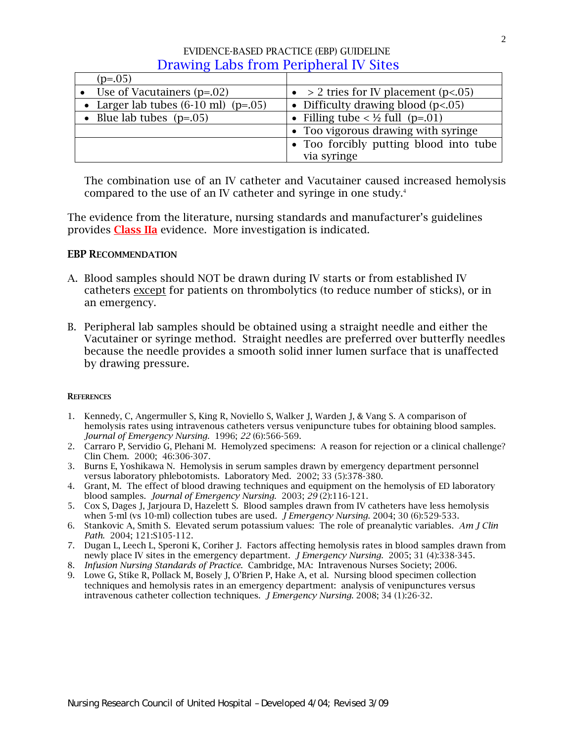| $(p=.05)$                                        |                                             |
|--------------------------------------------------|---------------------------------------------|
| • Use of Vacutainers $(p=.02)$                   | • > 2 tries for IV placement ( $p < 05$ )   |
| • Larger lab tubes $(6-10 \text{ ml})$ $(p=.05)$ | • Difficulty drawing blood $(p<.05)$        |
| • Blue lab tubes $(p=.05)$                       | • Filling tube < $\frac{1}{2}$ full (p=.01) |
|                                                  | • Too vigorous drawing with syringe         |
|                                                  | • Too forcibly putting blood into tube      |
|                                                  | via syringe                                 |

The combination use of an IV catheter and Vacutainer caused increased hemolysis compared to the use of an IV catheter and syringe in one study.<sup>4</sup>

The evidence from the literature, nursing standards and manufacturer's guidelines provides Class IIa evidence. More investigation is indicated.

### EBP RECOMMENDATION

- A. Blood samples should NOT be drawn during IV starts or from established IV catheters except for patients on thrombolytics (to reduce number of sticks), or in an emergency.
- B. Peripheral lab samples should be obtained using a straight needle and either the Vacutainer or syringe method. Straight needles are preferred over butterfly needles because the needle provides a smooth solid inner lumen surface that is unaffected by drawing pressure.

### **REFERENCES**

- 1. Kennedy, C, Angermuller S, King R, Noviello S, Walker J, Warden J, & Vang S. A comparison of hemolysis rates using intravenous catheters versus venipuncture tubes for obtaining blood samples. *Journal of Emergency Nursing*. 1996; *22* (6):566-569.
- 2. Carraro P, Servidio G, Plehani M. Hemolyzed specimens: A reason for rejection or a clinical challenge? Clin Chem. 2000; 46:306-307.
- 3. Burns E, Yoshikawa N. Hemolysis in serum samples drawn by emergency department personnel versus laboratory phlebotomists. Laboratory Med. 2002; 33 (5):378-380.
- 4. Grant, M. The effect of blood drawing techniques and equipment on the hemolysis of ED laboratory blood samples. *Journal of Emergency Nursing*. 2003; *29* (2):116-121.
- 5. Cox S, Dages J, Jarjoura D, Hazelett S. Blood samples drawn from IV catheters have less hemolysis when 5-ml (vs 10-ml) collection tubes are used*. J Emergency Nursing*. 2004; 30 (6):529-533.
- 6. Stankovic A, Smith S. Elevated serum potassium values: The role of preanalytic variables. *Am J Clin Path*. 2004; 121:S105-112.
- 7. Dugan L, Leech L, Speroni K, Coriher J. Factors affecting hemolysis rates in blood samples drawn from newly place IV sites in the emergency department. *J Emergency Nursing*. 2005; 31 (4):338-345.
- 8. *Infusion Nursing Standards of Practice*. Cambridge, MA: Intravenous Nurses Society; 2006.
- 9. Lowe G, Stike R, Pollack M, Bosely J, O'Brien P, Hake A, et al. Nursing blood specimen collection techniques and hemolysis rates in an emergency department: analysis of venipunctures versus intravenous catheter collection techniques. *J Emergency Nursing*. 2008; 34 (1):26-32.